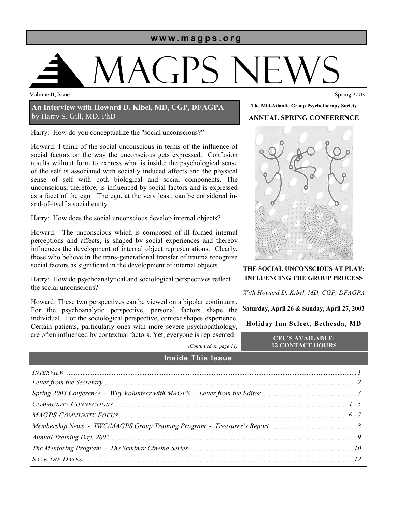#### **www.magps.org**

# MAGPS News

**Volume 11, Issue 1 Spring 2003** 

#### **An Interview with Howard D. Kibel, MD, CGP, DFAGPA**  by Harry S. Gill, MD, PhD

Harry: How do you conceptualize the "social unconscious?"

Howard: I think of the social unconscious in terms of the influence of social factors on the way the unconscious gets expressed. Confusion results without form to express what is inside: the psychological sense of the self is associated with socially induced affects and the physical sense of self with both biological and social components. The unconscious, therefore, is influenced by social factors and is expressed as a facet of the ego. The ego, at the very least, can be considered inand-of-itself a social entity.

Harry: How does the social unconscious develop internal objects?

Howard: The unconscious which is composed of ill-formed internal perceptions and affects, is shaped by social experiences and thereby influences the development of internal object representations. Clearly, those who believe in the trans-generational transfer of trauma recognize social factors as significant in the development of internal objects.

Harry: How do psychoanalytical and sociological perspectives reflect the social unconscious?

Howard: These two perspectives can be viewed on a bipolar continuum. For the psychoanalytic perspective, personal factors shape the individual. For the sociological perspective, context shapes experience. Certain patients, particularly ones with more severe psychopathology, are often influenced by contextual factors. Yet, everyone is represented



**The Mid-Atlantic Group Psychotherapy Society ANNUAL SPRING CONFERENCE** 

**THE SOCIAL UNCONSCIOUS AT PLAY: INFLUENCING THE GROUP PROCESS** 

*With Howard D. Kibel, MD, CGP, DFAGPA* 

**Saturday, April 26 & Sunday, April 27, 2003** 

#### **Holiday Inn Select, Bethesda, MD**

*(Continued on page 11)* 

**CEU'S AVAILABLE: 12 CONTACT HOURS** 

|                          | $\sim$ |  |
|--------------------------|--------|--|
| <b>Inside This Issue</b> |        |  |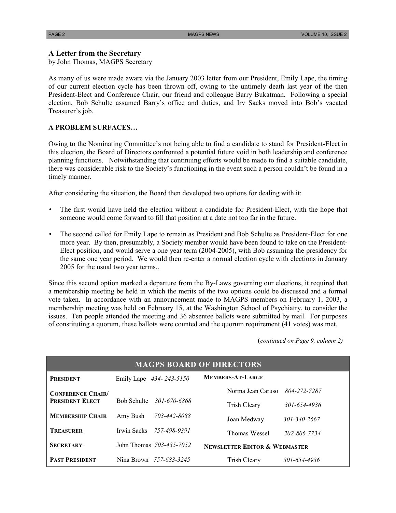#### **A Letter from the Secretary**

by John Thomas, MAGPS Secretary

As many of us were made aware via the January 2003 letter from our President, Emily Lape, the timing of our current election cycle has been thrown off, owing to the untimely death last year of the then President-Elect and Conference Chair, our friend and colleague Barry Bukatman. Following a special election, Bob Schulte assumed Barry's office and duties, and Irv Sacks moved into Bob's vacated Treasurer's job.

#### **A PROBLEM SURFACES…**

Owing to the Nominating Committee's not being able to find a candidate to stand for President-Elect in this election, the Board of Directors confronted a potential future void in both leadership and conference planning functions. Notwithstanding that continuing efforts would be made to find a suitable candidate, there was considerable risk to the Society's functioning in the event such a person couldn't be found in a timely manner.

After considering the situation, the Board then developed two options for dealing with it:

- The first would have held the election without a candidate for President-Elect, with the hope that someone would come forward to fill that position at a date not too far in the future.
- The second called for Emily Lape to remain as President and Bob Schulte as President-Elect for one more year. By then, presumably, a Society member would have been found to take on the President-Elect position, and would serve a one year term (2004-2005), with Bob assuming the presidency for the same one year period. We would then re-enter a normal election cycle with elections in January 2005 for the usual two year terms,.

Since this second option marked a departure from the By-Laws governing our elections, it required that a membership meeting be held in which the merits of the two options could be discussed and a formal vote taken. In accordance with an announcement made to MAGPS members on February 1, 2003, a membership meeting was held on February 15, at the Washington School of Psychiatry, to consider the issues. Ten people attended the meeting and 36 absentee ballots were submitted by mail. For purposes of constituting a quorum, these ballots were counted and the quorum requirement (41 votes) was met.

(*continued on Page 9, column 2)*

| <b>MAGPS BOARD OF DIRECTORS</b>                    |             |                          |                                          |              |  |  |
|----------------------------------------------------|-------------|--------------------------|------------------------------------------|--------------|--|--|
| <b>PRESIDENT</b>                                   |             | Emily Lape 434-243-5150  | MEMBERS-AT-LARGE                         |              |  |  |
| <b>CONFERENCE CHAIR/</b><br><b>PRESIDENT ELECT</b> |             |                          | Norma Jean Caruso                        | 804-272-7287 |  |  |
|                                                    | Bob Schulte | 301-670-6868             | <b>Trish Cleary</b>                      | 301-654-4936 |  |  |
| <b>MEMBERSHIP CHAIR</b>                            | Amy Bush    | 703-442-8088             | Joan Medway                              | 301-340-2667 |  |  |
| <b>TREASURER</b>                                   | Irwin Sacks | 757-498-9391             | Thomas Wessel                            | 202-806-7734 |  |  |
| <b>SECRETARY</b>                                   |             | John Thomas 703-435-7052 | <b>NEWSLETTER EDITOR &amp; WEBMASTER</b> |              |  |  |
| <b>PAST PRESIDENT</b>                              |             | Nina Brown 757-683-3245  | <b>Trish Cleary</b>                      | 301-654-4936 |  |  |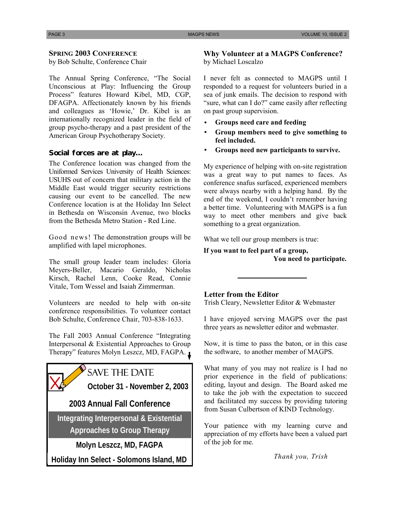#### **SPRING 2003 CONFERENCE**

by Bob Schulte, Conference Chair

The Annual Spring Conference, "The Social Unconscious at Play: Influencing the Group Process" features Howard Kibel, MD, CGP, DFAGPA. Affectionately known by his friends and colleagues as 'Howie,' Dr. Kibel is an internationally recognized leader in the field of group psycho-therapy and a past president of the American Group Psychotherapy Society.

#### **Social forces are at play…**

The Conference location was changed from the Uniformed Services University of Health Sciences: USUHS out of concern that military action in the Middle East would trigger security restrictions causing our event to be cancelled. The new Conference location is at the Holiday Inn Select in Bethesda on Wisconsin Avenue, two blocks from the Bethesda Metro Station - Red Line.

Good news! The demonstration groups will be amplified with lapel microphones.

The small group leader team includes: Gloria Meyers-Beller, Macario Geraldo, Nicholas Kirsch, Rachel Lenn, Cooke Read, Connie Vitale, Tom Wessel and Isaiah Zimmerman.

Volunteers are needed to help with on-site conference responsibilities. To volunteer contact Bob Schulte, Conference Chair, 703-838-1633.

The Fall 2003 Annual Conference "Integrating Interpersonal & Existential Approaches to Group Therapy" features Molyn Leszcz, MD, FAGPA.



## SAVE THE DATE

**October 31 - November 2, 2003** 

**2003 Annual Fall Conference** 

**Integrating Interpersonal & Existential** 

**Approaches to Group Therapy** 

**Molyn Leszcz, MD, FAGPA** 

**Holiday Inn Select - Solomons Island, MD** 

#### **Why Volunteer at a MAGPS Conference?**  by Michael Loscalzo

I never felt as connected to MAGPS until I responded to a request for volunteers buried in a sea of junk emails. The decision to respond with "sure, what can I do?" came easily after reflecting on past group supervision.

- **Groups need care and feeding**
- **Group members need to give something to feel included.**
- **Groups need new participants to survive.**

My experience of helping with on-site registration was a great way to put names to faces. As conference snafus surfaced, experienced members were always nearby with a helping hand. By the end of the weekend, I couldn't remember having a better time. Volunteering with MAGPS is a fun way to meet other members and give back something to a great organization.

What we tell our group members is true:

**If you want to feel part of a group, You need to participate.** 

#### **Letter from the Editor**

Trish Cleary, Newsletter Editor & Webmaster

I have enjoyed serving MAGPS over the past three years as newsletter editor and webmaster.

Now, it is time to pass the baton, or in this case the software, to another member of MAGPS.

What many of you may not realize is I had no prior experience in the field of publications: editing, layout and design. The Board asked me to take the job with the expectation to succeed and facilitated my success by providing tutoring from Susan Culbertson of KIND Technology.

Your patience with my learning curve and appreciation of my efforts have been a valued part of the job for me.

*Thank you, Trish*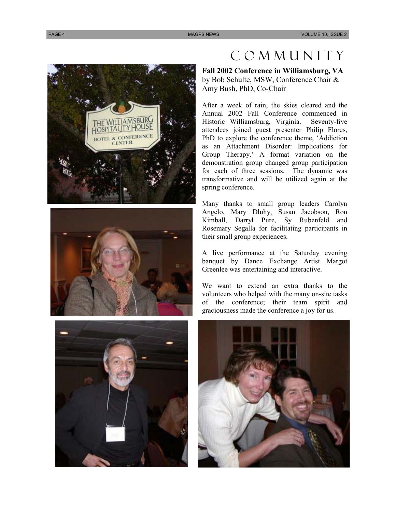





## Community

**Fall 2002 Conference in Williamsburg, VA**  by Bob Schulte, MSW, Conference Chair & Amy Bush, PhD, Co-Chair

After a week of rain, the skies cleared and the Annual 2002 Fall Conference commenced in Historic Williamsburg, Virginia. Seventy-five attendees joined guest presenter Philip Flores, PhD to explore the conference theme, 'Addiction as an Attachment Disorder: Implications for Group Therapy.' A format variation on the demonstration group changed group participation for each of three sessions. The dynamic was transformative and will be utilized again at the spring conference.

Many thanks to small group leaders Carolyn Angelo, Mary Dluhy, Susan Jacobson, Ron Kimball, Darryl Pure, Sy Rubenfeld and Rosemary Segalla for facilitating participants in their small group experiences.

A live performance at the Saturday evening banquet by Dance Exchange Artist Margot Greenlee was entertaining and interactive.

We want to extend an extra thanks to the volunteers who helped with the many on-site tasks of the conference; their team spirit and graciousness made the conference a joy for us.

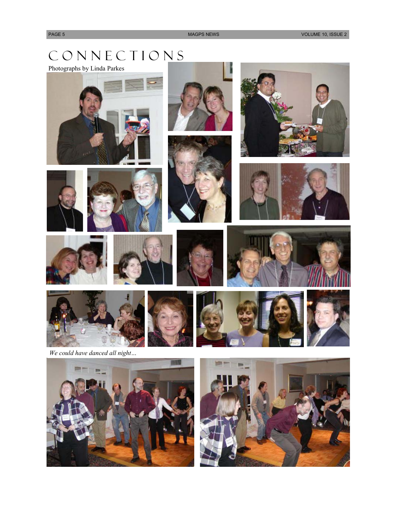# C O N N E C T I O N S

Photographs by Linda Parkes



















*We could have danced all night…* 



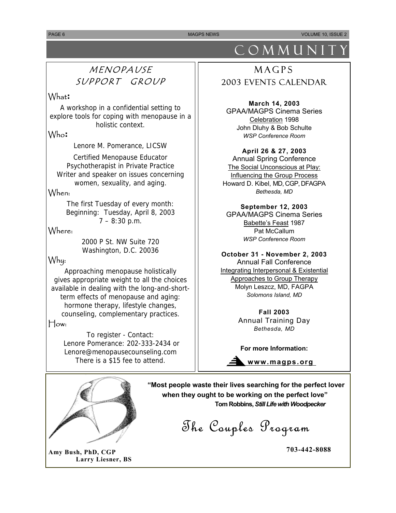**PAGE 6** MAGPS NEWS VOLUME 10, ISSUE 2

## MENOPAUSE SUPPORT GROUP

#### What**:**

A workshop in a confidential setting to explore tools for coping with menopause in a holistic context.

#### Who**:**

Lenore M. Pomerance, LICSW

Certified Menopause Educator Psychotherapist in Private Practice Writer and speaker on issues concerning women, sexuality, and aging.

#### When:

The first Tuesday of every month: Beginning: Tuesday, April 8, 2003 7 – 8:30 p.m.

#### Where:

2000 P St. NW Suite 720 Washington, D.C. 20036

### Why:

Approaching menopause holistically gives appropriate weight to all the choices available in dealing with the long-and-shortterm effects of menopause and aging: hormone therapy, lifestyle changes, counseling, complementary practices.

#### How:

To register - Contact: Lenore Pomerance: 202-333-2434 or Lenore@menopausecounseling.com There is a \$15 fee to attend.



**Amy Bush, PhD, CGP 703-442-8088 Larry Liesner, BS** 

# COMMUNIT

## MAGPS 2003 Events Calendar

**March 14, 2003**  GPAA/MAGPS Cinema Series Celebration 1998 John Dluhy & Bob Schulte *WSP Conference Room* 

#### **April 26 & 27, 2003**

Annual Spring Conference The Social Unconscious at Play: Influencing the Group Process Howard D. Kibel, MD, CGP, DFAGPA *Bethesda, MD* 

#### **September 12, 2003**

GPAA/MAGPS Cinema Series Babette's Feast 1987 Pat McCallum *WSP Conference Room* 

#### **October 31 - November 2, 2003**

Annual Fall Conference Integrating Interpersonal & Existential Approaches to Group Therapy Molyn Leszcz, MD, FAGPA *Solomons Island, MD* 

> **Fall 2003**  Annual Training Day *Bethesda, MD*

**For more Information:** 

**www.magps.org** 

 **"Most people waste their lives searching for the perfect lover when they ought to be working on the perfect love" Tom Robbins,** *Still Life with Woodpecker* 

The Couples Program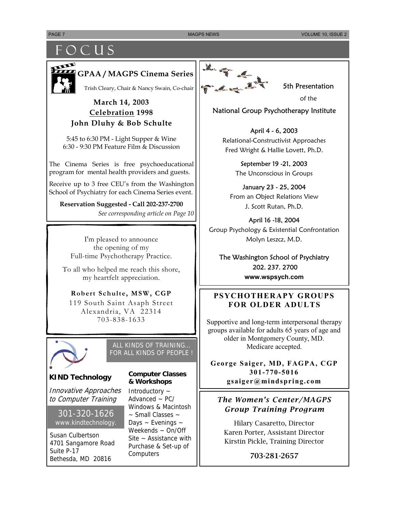## F O C U S



**GPAA / MAGPS Cinema Series** 

Trish Cleary, Chair & Nancy Swain, Co-chair

#### **March 14, 2003 Celebration 1998 John Dluhy & Bob Schulte**

5:45 to 6:30 PM - Light Supper & Wine 6:30 - 9:30 PM Feature Film & Discussion

The Cinema Series is free psychoeducational program for mental health providers and guests.

Receive up to 3 free CEU's from the Washington School of Psychiatry for each Cinema Series event.

**Reservation Suggested - Call 202-237-2700** *See corresponding article on Page 10* 

I'm pleased to announce the opening of my Full-time Psychotherapy Practice.

To all who helped me reach this shore, my heartfelt appreciation.

#### **Robert Schulte, MSW, CGP**

119 South Saint Asaph Street Alexandria, VA 22314 703-838-1633



ALL KINDS OF TRAINING… FOR ALL KINDS OF PEOPLE !

#### **KIND Technology**

Innovative Approaches to Computer Training

#### 301-320-1626 www.kindtechnology.

Susan Culbertson 4701 Sangamore Road Suite P-17 Bethesda, MD 20816

#### **Computer Classes & Workshops**

Introductory ~ Advanced  $\sim$  PC/ Windows & Macintosh ~ Small Classes ~ Days ~ Evenings ~ Weekends ~ On/Off Site  $\sim$  Assistance with Purchase & Set-up of **Computers** 



5th Presentation

of the

#### National Group Psychotherapy Institute

April 4 - 6, 2003 Relational-Constructivist Approaches Fred Wright & Hallie Lovett, Ph.D.

> September 19 -21, 2003 The Unconscious in Groups

January 23 - 25, 2004 From an Object Relations View J. Scott Rutan, Ph.D.

April 16 -18, 2004 Group Psychology & Existential Confrontation Molyn Leszcz, M.D.

The Washington School of Psychiatry 202. 237. 2700 **www.wspsych.com** 

#### **PSYCHOTHERAPY GROUPS FOR OLDER ADULTS**

Supportive and long-term interpersonal therapy groups available for adults 65 years of age and older in Montgomery County, MD. Medicare accepted.

**George Saiger, MD, FAGPA, CGP 301-770-5016 gsaiger@mindspring.com** 

#### *The Women's Center/MAGPS Group Training Program*

Hilary Casaretto, Director Karen Porter, Assistant Director Kirstin Pickle, Training Director

703-281-2657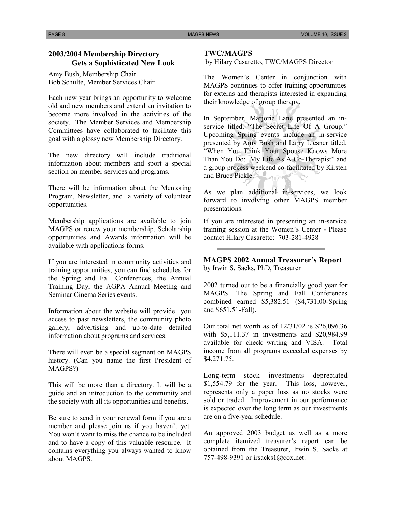#### **2003/2004 Membership Directory Gets a Sophisticated New Look**

Amy Bush, Membership Chair Bob Schulte, Member Services Chair

Each new year brings an opportunity to welcome old and new members and extend an invitation to become more involved in the activities of the society. The Member Services and Membership Committees have collaborated to facilitate this goal with a glossy new Membership Directory.

The new directory will include traditional information about members and sport a special section on member services and programs.

There will be information about the Mentoring Program, Newsletter, and a variety of volunteer opportunities.

Membership applications are available to join MAGPS or renew your membership. Scholarship opportunities and Awards information will be available with applications forms.

If you are interested in community activities and training opportunities, you can find schedules for the Spring and Fall Conferences, the Annual Training Day, the AGPA Annual Meeting and Seminar Cinema Series events.

Information about the website will provide you access to past newsletters, the community photo gallery, advertising and up-to-date detailed information about programs and services.

There will even be a special segment on MAGPS history. (Can you name the first President of MAGPS?)

This will be more than a directory. It will be a guide and an introduction to the community and the society with all its opportunities and benefits.

Be sure to send in your renewal form if you are a member and please join us if you haven't yet. You won't want to miss the chance to be included and to have a copy of this valuable resource. It contains everything you always wanted to know about MAGPS.

#### **TWC/MAGPS**

by Hilary Casaretto, TWC/MAGPS Director

The Women's Center in conjunction with MAGPS continues to offer training opportunities for externs and therapists interested in expanding their knowledge of group therapy.

In September, Marjorie Lane presented an inservice titled, "The Secret Life Of A Group." Upcoming Spring events include an in-service presented by Amy Bush and Larry Liesner titled, "When You Think Your Spouse Knows More Than You Do: My Life As A Co-Therapist" and a group process weekend co-facilitated by Kirsten and Bruce Pickle.

As we plan additional in-services, we look forward to involving other MAGPS member presentations.

If you are interested in presenting an in-service training session at the Women's Center - Please contact Hilary Casaretto: 703-281-4928

#### **MAGPS 2002 Annual Treasurer's Report**  by Irwin S. Sacks, PhD, Treasurer

2002 turned out to be a financially good year for MAGPS. The Spring and Fall Conferences combined earned \$5,382.51 (\$4,731.00-Spring and \$651.51-Fall).

Our total net worth as of 12/31/02 is \$26,096.36 with \$5,111.37 in investments and \$20,984.99 available for check writing and VISA. Total income from all programs exceeded expenses by \$4,271.75.

Long-term stock investments depreciated \$1,554.79 for the year. This loss, however, represents only a paper loss as no stocks were sold or traded. Improvement in our performance is expected over the long term as our investments are on a five-year schedule.

An approved 2003 budget as well as a more complete itemized treasurer's report can be obtained from the Treasurer, Irwin S. Sacks at 757-498-9391 or irsacks1@cox.net.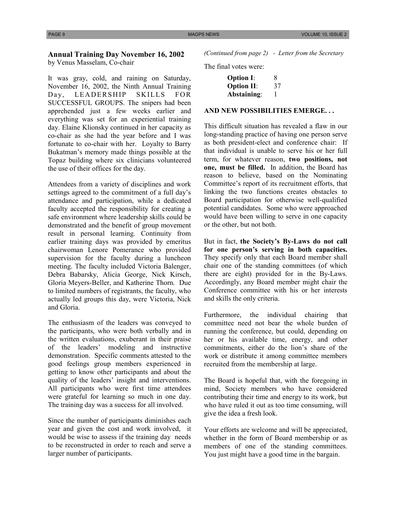#### **Annual Training Day November 16, 2002**

by Venus Masselam, Co-chair

It was gray, cold, and raining on Saturday, November 16, 2002, the Ninth Annual Training Day, LEADERSHIP SKILLS FOR SUCCESSFUL GROUPS. The snipers had been apprehended just a few weeks earlier and everything was set for an experiential training day. Elaine Klionsky continued in her capacity as co-chair as she had the year before and I was fortunate to co-chair with her. Loyalty to Barry Bukatman's memory made things possible at the Topaz building where six clinicians volunteered the use of their offices for the day.

Attendees from a variety of disciplines and work settings agreed to the commitment of a full day's attendance and participation, while a dedicated faculty accepted the responsibility for creating a safe environment where leadership skills could be demonstrated and the benefit of group movement result in personal learning. Continuity from earlier training days was provided by emeritus chairwoman Lenore Pomerance who provided supervision for the faculty during a luncheon meeting. The faculty included Victoria Balenger, Debra Babarsky, Alicia George, Nick Kirsch, Gloria Meyers-Beller, and Katherine Thorn. Due to limited numbers of registrants, the faculty, who actually led groups this day, were Victoria, Nick and Gloria.

The enthusiasm of the leaders was conveyed to the participants, who were both verbally and in the written evaluations, exuberant in their praise of the leaders' modeling and instructive demonstration. Specific comments attested to the good feelings group members experienced in getting to know other participants and about the quality of the leaders' insight and interventions. All participants who were first time attendees were grateful for learning so much in one day. The training day was a success for all involved.

Since the number of participants diminishes each year and given the cost and work involved, it would be wise to assess if the training day needs to be reconstructed in order to reach and serve a larger number of participants.

*(Continued from page 2) - Letter from the Secretary*

The final votes were:

| <b>Option I:</b>  | 8  |
|-------------------|----|
| <b>Option II:</b> | 37 |
| Abstaining:       | 1  |

#### **AND NEW POSSIBILITIES EMERGE. . .**

This difficult situation has revealed a flaw in our long-standing practice of having one person serve as both president-elect and conference chair: If that individual is unable to serve his or her full term, for whatever reason, **two positions, not one, must be filled.** In addition, the Board has reason to believe, based on the Nominating Committee's report of its recruitment efforts, that linking the two functions creates obstacles to Board participation for otherwise well-qualified potential candidates. Some who were approached would have been willing to serve in one capacity or the other, but not both.

But in fact, **the Society's By-Laws do not call for one person's serving in both capacities.**  They specify only that each Board member shall chair one of the standing committees (of which there are eight) provided for in the By-Laws. Accordingly, any Board member might chair the Conference committee with his or her interests and skills the only criteria.

Furthermore, the individual chairing that committee need not bear the whole burden of running the conference, but could, depending on her or his available time, energy, and other commitments, either do the lion's share of the work or distribute it among committee members recruited from the membership at large.

The Board is hopeful that, with the foregoing in mind, Society members who have considered contributing their time and energy to its work, but who have ruled it out as too time consuming, will give the idea a fresh look.

Your efforts are welcome and will be appreciated, whether in the form of Board membership or as members of one of the standing committees. You just might have a good time in the bargain.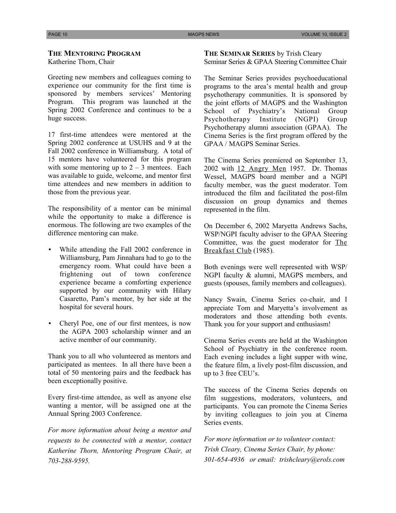#### **THE MENTORING PROGRAM**

Katherine Thorn, Chair

Greeting new members and colleagues coming to experience our community for the first time is sponsored by members services' Mentoring Program. This program was launched at the Spring 2002 Conference and continues to be a huge success.

17 first-time attendees were mentored at the Spring 2002 conference at USUHS and 9 at the Fall 2002 conference in Williamsburg. A total of 15 mentors have volunteered for this program with some mentoring up to  $2 - 3$  mentees. Each was available to guide, welcome, and mentor first time attendees and new members in addition to those from the previous year.

The responsibility of a mentor can be minimal while the opportunity to make a difference is enormous. The following are two examples of the difference mentoring can make.

- While attending the Fall 2002 conference in Williamsburg, Pam Jinnahara had to go to the emergency room. What could have been a frightening out of town conference experience became a comforting experience supported by our community with Hilary Casaretto, Pam's mentor, by her side at the hospital for several hours.
- Cheryl Poe, one of our first mentees, is now the AGPA 2003 scholarship winner and an active member of our community.

Thank you to all who volunteered as mentors and participated as mentees. In all there have been a total of 50 mentoring pairs and the feedback has been exceptionally positive.

Every first-time attendee, as well as anyone else wanting a mentor, will be assigned one at the Annual Spring 2003 Conference.

*For more information about being a mentor and requests to be connected with a mentor, contact Katherine Thorn, Mentoring Program Chair, at 703-288-9595.* 

**THE SEMINAR SERIES** by Trish Cleary Seminar Series & GPAA Steering Committee Chair

The Seminar Series provides psychoeducational programs to the area's mental health and group psychotherapy communities. It is sponsored by the joint efforts of MAGPS and the Washington School of Psychiatry's National Group Psychotherapy Institute (NGPI) Group Psychotherapy alumni association (GPAA). The Cinema Series is the first program offered by the GPAA / MAGPS Seminar Series.

The Cinema Series premiered on September 13, 2002 with 12 Angry Men 1957. Dr. Thomas Wessel, MAGPS board member and a NGPI faculty member, was the guest moderator. Tom introduced the film and facilitated the post-film discussion on group dynamics and themes represented in the film.

On December 6, 2002 Maryetta Andrews Sachs, WSP/NGPI faculty adviser to the GPAA Steering Committee, was the guest moderator for The Breakfast Club (1985).

Both evenings were well represented with WSP/ NGPI faculty & alumni, MAGPS members, and guests (spouses, family members and colleagues).

Nancy Swain, Cinema Series co-chair, and I appreciate Tom and Maryetta's involvement as moderators and those attending both events. Thank you for your support and enthusiasm!

Cinema Series events are held at the Washington School of Psychiatry in the conference room. Each evening includes a light supper with wine, the feature film, a lively post-film discussion, and up to 3 free CEU's.

The success of the Cinema Series depends on film suggestions, moderators, volunteers, and participants. You can promote the Cinema Series by inviting colleagues to join you at Cinema Series events.

*For more information or to volunteer contact: Trish Cleary, Cinema Series Chair, by phone: 301-654-4936 or email: trishcleary@erols.com*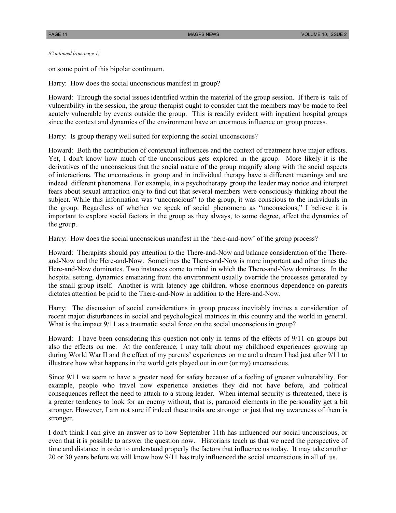*(Continued from page 1)*

on some point of this bipolar continuum.

Harry: How does the social unconscious manifest in group?

Howard: Through the social issues identified within the material of the group session. If there is talk of vulnerability in the session, the group therapist ought to consider that the members may be made to feel acutely vulnerable by events outside the group. This is readily evident with inpatient hospital groups since the context and dynamics of the environment have an enormous influence on group process.

Harry: Is group therapy well suited for exploring the social unconscious?

Howard: Both the contribution of contextual influences and the context of treatment have major effects. Yet, I don't know how much of the unconscious gets explored in the group. More likely it is the derivatives of the unconscious that the social nature of the group magnify along with the social aspects of interactions. The unconscious in group and in individual therapy have a different meanings and are indeed different phenomena. For example, in a psychotherapy group the leader may notice and interpret fears about sexual attraction only to find out that several members were consciously thinking about the subject. While this information was "unconscious" to the group, it was conscious to the individuals in the group. Regardless of whether we speak of social phenomena as "unconscious," I believe it is important to explore social factors in the group as they always, to some degree, affect the dynamics of the group.

Harry: How does the social unconscious manifest in the 'here-and-now' of the group process?

Howard: Therapists should pay attention to the There-and-Now and balance consideration of the Thereand-Now and the Here-and-Now. Sometimes the There-and-Now is more important and other times the Here-and-Now dominates. Two instances come to mind in which the There-and-Now dominates. In the hospital setting, dynamics emanating from the environment usually override the processes generated by the small group itself. Another is with latency age children, whose enormous dependence on parents dictates attention be paid to the There-and-Now in addition to the Here-and-Now.

Harry: The discussion of social considerations in group process inevitably invites a consideration of recent major disturbances in social and psychological matrices in this country and the world in general. What is the impact  $9/11$  as a traumatic social force on the social unconscious in group?

Howard: I have been considering this question not only in terms of the effects of 9/11 on groups but also the effects on me. At the conference, I may talk about my childhood experiences growing up during World War II and the effect of my parents' experiences on me and a dream I had just after 9/11 to illustrate how what happens in the world gets played out in our (or my) unconscious.

Since 9/11 we seem to have a greater need for safety because of a feeling of greater vulnerability. For example, people who travel now experience anxieties they did not have before, and political consequences reflect the need to attach to a strong leader. When internal security is threatened, there is a greater tendency to look for an enemy without, that is, paranoid elements in the personality get a bit stronger. However, I am not sure if indeed these traits are stronger or just that my awareness of them is stronger.

I don't think I can give an answer as to how September 11th has influenced our social unconscious, or even that it is possible to answer the question now. Historians teach us that we need the perspective of time and distance in order to understand properly the factors that influence us today. It may take another 20 or 30 years before we will know how 9/11 has truly influenced the social unconscious in all of us.